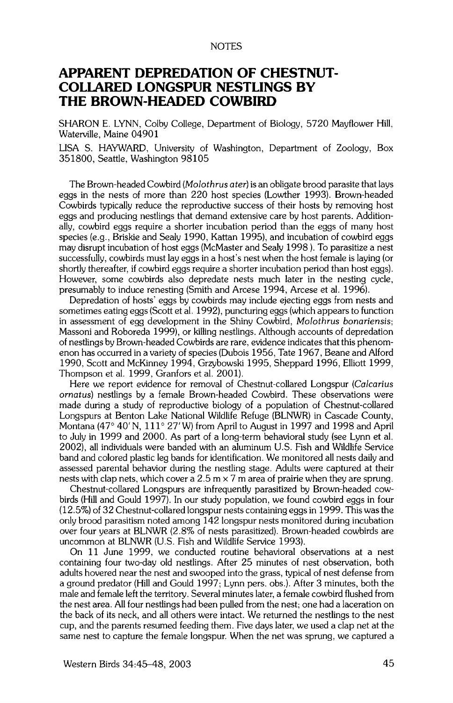## **NOTES**

## **APPARENT DEPREDATION OF CHESTNUT-COLLARED LONGSPUR NESTLINGS BY THE BROWN-HEADED COWBIRD**

**SHARON E. LYNN, Colby College, Department of Biology, 5720 Mayflower Hill, Waterville, Maine 04901** 

**LISA S. HAYWARD, University of Washington, Department of Zoology, Box 351800, Seattle, Washington 98105** 

**The Brown-headed Cowbird (Molothrus ater) is an obligate brood parasite that lays eggs in the nests of more than 220 host species (Lowther 1993). Brown-headed Cowbirds typically reduce the reproductive success of their hosts by removing host eggs and producing nestlings that demand extensive care by host parents. Additionally, cowbird eggs require a shorter incubation period than the eggs of many host species (e.g., Briskie and Sealy 1990, Kattan 1995), and incubation of cowbird eggs may disrupt incubation of host eggs (McMaster and Sealy 1998 ). To parasitize a nest successfully, cowbirds must lay eggs in a host's nest when the host female is laying (or shortly thereafter, if cowbird eggs require a shorter incubation period than host eggs). However, some cowbirds also depredate nests much later in the nesting cycle, presumably to induce renesting (Smith and Arcese 1994, Arcese et al. 1996).** 

**Depredation of hosts' eggs by cowbirds may include ejecting eggs from nests and sometimes eating eggs (Scott et al. 1992), puncturing eggs (which appears to function in assessment of egg development in the Shiny Cowbird, Molothrus bonariensis; Massoni and Roboreda 1999), or killing nestlings. Although accounts of depredation of nestlings by Brown-headed Cowbirds are rare, evidence indicates that this phenomenon has occurred in a variety of species (Dubois 1956, Tate 1967, Beane and Alford 1990, Scott and McKinney 1994, Grzybowski 1995, Sheppard 1996, Elliott 1999, Thompson et al. 1999, Granfors et al. 2001).** 

**Here we report evidence for removal of Chestnut-collared Longspur (Calcarius ornatus) nestlings by a female Brown-headed Cowbird. These observations were made during a study of reproductive biology of a population of Chestnut-collared Longspurs at Benton Lake National Wildlife Refuge (BLNWR) in Cascade County,**  Montana (47° 40' N, 111° 27' W) from April to August in 1997 and 1998 and April **to July in 1999 and 2000. As part of a long-term behavioral study (see Lynn et al. 2002), all individuals were banded with an aluminum U.S. Fish and Wildlife Service band and colored plastic leg bands for identification. We monitored all nests daily and assessed parental behavior during the nestling stage. Adults were captured at their nests with clap nets, which cover a 2.5 m x 7 m area of prairie when they are sprung.** 

**Chestnut-collared Longspurs are infrequently parasitized by Brown-headed cowbirds (Hill and Gould 1997). In our study population, we found cowbird eggs in four (12.5%) of 32 Chestnut-collared longspur nests containing eggs in 1999. This was the only brood parasitism noted among 142 longspur nests monitored during incubation over four years at BLNWR (2.8% of nests parasitized). Brown-headed cowbirds are uncommon at BLNWR (U.S. Fish and Wildlife Service 1993).** 

**On 11 June 1999, we conducted routine behavioral observations at a nest containing four two-day old nestlings. After 25 minutes of nest observation, both adults hovered near the nest and swooped into the grass, typical of nest defense from a ground predator (Hill and Gould 1997; Lynn pers. obs.). After 3 minutes, both the male and female left the territory. Several minutes later, a female cowbird flushed from the nest area. All four nestlings had been pulled from the nest; one had a laceration on the back of its neck, and all others were intact. We returned the nestlings to the nest cup, and the parents resumed feeding them. Five days later, we used a clap net at the same nest to capture the female longspur. When the net was sprung, we captured a**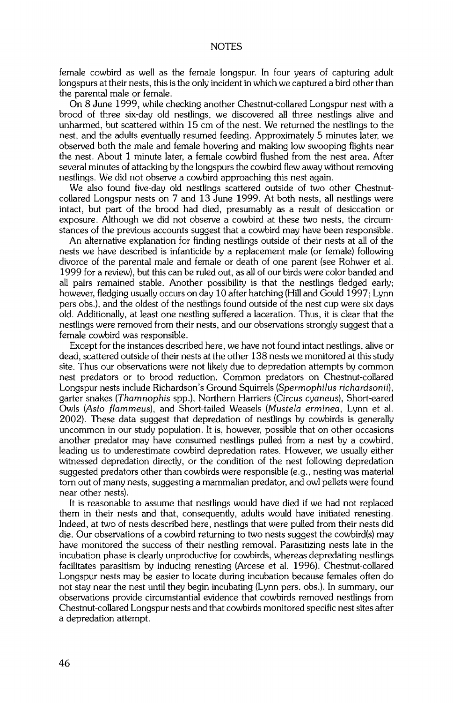**female cowbird as well as the female longspur. In four years of capturing adult longspurs at their nests, this is the only incident in which we captured a bird other than the parental male or female.** 

**On 8 June 1999, while checking another Chestnut-collared Longspur nest with a brood of three six-day old nesfiings, we discovered all three nestlings alive and unharmed, but scattered within 15 cm of the nest. We returned the nestlings to the nest, and the adults eventually resumed feeding. Approximately 5 minutes later, we observed both the male and female hovering and making low swooping flights near the nest. About 1 minute later, a female cowbird flushed from the nest area. After several minutes of attacking by the longspurs the cowbird flew away without removing nesfiings. We did not observe a cowbird approaching this nest again.** 

**We also found five-day old nestlings scattered outside of two other Chestnutcollared Longspur nests on 7 and 13 June 1999. At both nests, all nesfiings were intact, but part of the brood had died, presumably as a result of desiccation or exposure. Although we did not observe a cowbird at these two nests, the circum**stances of the previous accounts suggest that a cowbird may have been responsible.

**An alternative explanation for finding nestlings outside of their nests at all of the nests we have described is infanticide by a replacement male (or female) following divorce of the parental male and female or death of one parent (see Rohwer et al. 1999 for a review), but this can be ruled out, as all of our birds were color banded and all pairs remained stable. Another possibility is that the nestlings fledged early; however, fiedging usually occurs on day 10 after hatching (Hill and Gould 1997; Lynn pers obs.), and the oldest of the nesfiings found outside of the nest cup were six days old. Additionally, at least one nestling suffered a laceration. Thus, it is clear that the nesfiings were removed from their nests, and our observations strongly suggest that a female cowbird was responsible.** 

**Except for the instances described here, we have not found intact nestlings, alive or dead, scattered outside of their nests at the other 138 nests we monitored at this study site. Thus our observations were not likely due to depredation attempts by common nest predators or to brood reduction. Common predators on Chestnut-collared Longspur nests include Richardson's Ground Squirrels (\$permophilus richardsonii), garter snakes (Tharnnophis spp.), Northern Harriers (Circus cyaneus), Short-eared**  Owls (Asio flammeus), and Short-tailed Weasels (Mustela erminea, Lynn et al. **2002**). These data suggest that depredation of nestlings by cowbirds is generally **uncommon in our study population. It is, however, possible that on other occasions another predator may have consumed nestlings pulled from a nest by a cowbird, leading us to underestimate cowbird depredation rates. However, we usually either witnessed depredation direcfiy, or the condition of the nest following depredation suggested predators other than cowbirds were responsible (e.g., nesting was material torn out of many nests, suggesting a mammalian predator, and owl pellets were found near other nests).** 

**It is reasonable to assume that nestlings would have died if we had not replaced them in their nests and that, consequently, adults would have initiated renesting. Indeed, at two of nests described here, nestlings that were pulled from their nests did die. Our observations of a cowbird returning to two nests suggest the cowbird(s) may have monitored the success of their nesfiing removal. Parasitizing nests late in the incubation phase is clearly unproductive for cowbirds, whereas depredating nesfiings facilitates parasitism by inducing renesting (Arcese et al. 1996). Chestnut-collared Longspur nests may be easier to locate during incubation because females often do not stay near the nest until they begin incubating (Lynn pers. obs.). In summary, our observations provide circumstantial evidence that cowbirds removed nestlings from Chestnut-collared Longspur nests and that cowbirds monitored specific nest sites after a depredation attempt.**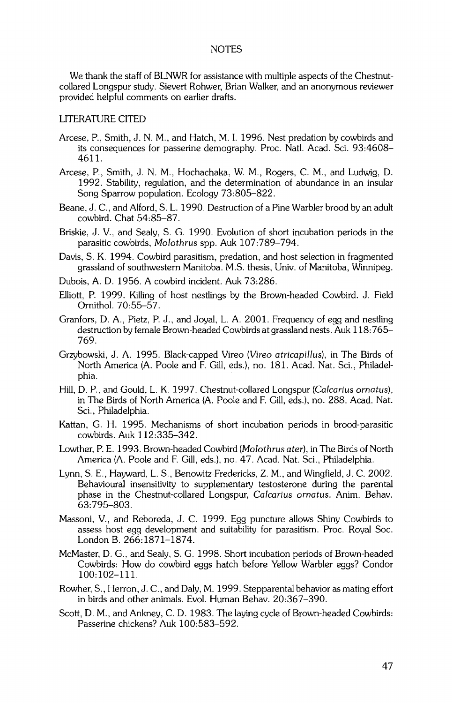## **NOTES**

**We thank the staff of BLNWR for assistance with multiple aspects of the Chestnutcollared Longspur study. Sievert Rohwer, Brian Walker, and an anonymous reviewer provided helpful comments on earlier drafts.** 

## **LITERATURE CITED**

- **Arcese, P., Smith, J. N.M., and Hatch, M. I. 1996. Nest predation by cowbirds and its consequences for passefine demography. Proc. Natl. Acad. Sci. 93:4608- 4611.**
- **Arcese, P., Smith, J. N. M., Hochachaka, W. M., Rogers, C. M., and Ludwig, D. 1992. Stability, regulation, and the determination of abundance in an insular Song Sparrow population. Ecology 73:805-822.**
- **Beane, J. C., and Alford, S. L. 1990. Destruction of a Pine Warbler brood by an adult cowbird. Chat 54:85-87.**
- **Briskie, J. V., and Sealy, S. G. 1990. Evolution of short incubation periods in the parasitic cowbirds, Molothrus spp. Auk 107:789-794.**
- **Davis, S. K. 1994. Cowbird parasitism, predation, and host selection in fragmented grassland of southwestern Manitoba. M.S. thesis, Univ. of Manitoba, Winnipeg.**
- **Dubois, A.D. 1956. A cowbird incident. Auk 73:286.**
- **Elliott, P. 1999. Killing of host nestlings by the Brown-headed Cowbird. J. Field Ornithol. 70:55-57.**
- **Granfors, D. A., Pietz, P. J., and Joyal, L. A. 2001. Frequency of egg and nestling destruction by female Brown-headed Cowbirds at grassland nests. Auk 118: 765- 769.**
- **Grzybowski, J. A. 1995. Black-capped Vireo (Vireo atricapillus), in The Birds of North America (A. Poole and F. Gill, eds.), no. 181. Acad. Nat. Sci., Philadelphia.**
- **Hill, D. P., and Gould, L. K. 1997. Chestnut-collared Longspur (Calcarius ornatus), in The Birds of North America (A. Poole and F. Gill, eds.), no. 288. Acad. Nat. Sci., Philadelphia.**
- **Kattan, G. H. 1995. Mechanisms of short incubation periods in brood-parasitic cowbirds. Auk 112:335-342.**
- **Lowther, P. E. 1993. Brown-headed Cowbird (Molothrus ater), in The Birds of North America (A. Poole and E Gill, eds.), no. 47. Acad. Nat. Sci., Philadelphia.**
- **Lynn, S. E., Hayward, L. S., Benowitz-Fredericks, Z. M., and Wingfield, J. C. 2002. Behavioural insensitivity to supplementary testosterone during the parental phase in the Chestnut-collared Longspur, Calcarius ornatus. Anim. Behav. 63:795-803.**
- **Massoni, V., and Reboreda, J. C. 1999. Egg puncture allows Shiny Cowbirds to assess host egg development and suitability for parasitism. Proc. Royal Soc. London B. 266:1871-1874.**
- **McMaster, D. G., and Sealy, S. G. 1998. Short incubation periods of Brown-headed Cowbirds: How do cowbird eggs hatch before Yellow Warbler eggs? Condor 100:102-111.**
- **Rowher, S., Herron, J. C., and Daly, M. 1999. Stepparental behavior as mating effort in birds and other animals. Evol. Human Behav. 20:367-390.**
- **Scott, D. M., and Ankney, C. D. 1983. The laying cycle of Brown-headed Cowbirds: Passefine chickens? Auk 100:583-592.**